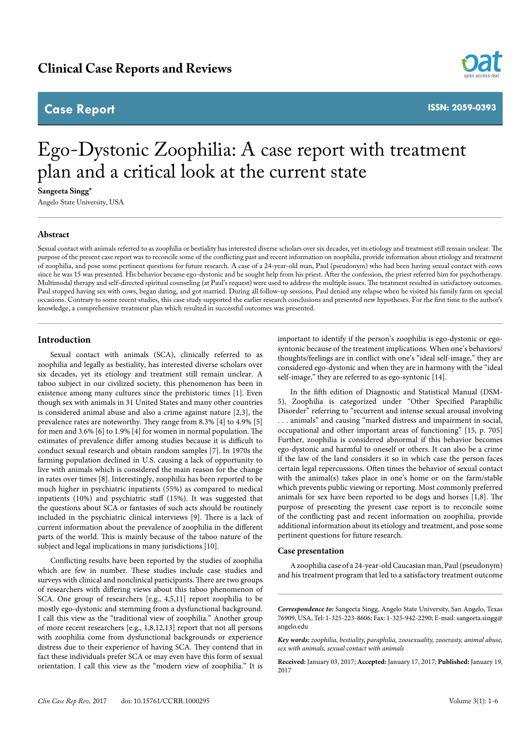# **Case Report**



**ISSN: 2059-0393**

# Ego-Dystonic Zoophilia: A case report with treatment plan and a critical look at the current state

**Sangeeta Singg\***

Angelo State University, USA

## **Abstract**

Sexual contact with animals referred to as zoophilia or bestiality has interested diverse scholars over six decades, yet its etiology and treatment still remain unclear. The purpose of the present case report was to reconcile some of the conflicting past and recent information on zoophilia, provide information about etiology and treatment of zoophilia, and pose some pertinent questions for future research. A case of a 24-year-old man, Paul (pseudonym) who had been having sexual contact with cows since he was 15 was presented. His behavior became ego-dystonic and he sought help from his priest. After the confession, the priest referred him for psychotherapy. Multimodal therapy and self-directed spiritual counseling (at Paul's request) were used to address the multiple issues. The treatment resulted in satisfactory outcomes. Paul stopped having sex with cows, began dating, and got married. During all follow-up sessions, Paul denied any relapse when he visited his family farm on special occasions. Contrary to some recent studies, this case study supported the earlier research conclusions and presented new hypotheses. For the first time to the author's knowledge, a comprehensive treatment plan which resulted in successful outcomes was presented.

### **Introduction**

Sexual contact with animals (SCA), clinically referred to as zoophilia and legally as bestiality, has interested diverse scholars over six decades, yet its etiology and treatment still remain unclear. A taboo subject in our civilized society, this phenomenon has been in existence among many cultures since the prehistoric times [1]. Even though sex with animals in 31 United States and many other countries is considered animal abuse and also a crime against nature [2,3], the prevalence rates are noteworthy. They range from 8.3% [4] to 4.9% [5] for men and 3.6% [6] to 1.9% [4] for women in normal population. The estimates of prevalence differ among studies because it is difficult to conduct sexual research and obtain random samples [7]. In 1970s the farming population declined in U.S. causing a lack of opportunity to live with animals which is considered the main reason for the change in rates over times [8]. Interestingly, zoophilia has been reported to be much higher in psychiatric inpatients (55%) as compared to medical inpatients (10%) and psychiatric staff (15%). It was suggested that the questions about SCA or fantasies of such acts should be routinely included in the psychiatric clinical interviews [9]. There is a lack of current information about the prevalence of zoophilia in the different parts of the world. This is mainly because of the taboo nature of the subject and legal implications in many jurisdictions [10].

Conflicting results have been reported by the studies of zoophilia which are few in number. These studies include case studies and surveys with clinical and nonclinical participants. There are two groups of researchers with differing views about this taboo phenomenon of SCA. One group of researchers [e.g., 4,5,11] report zoophilia to be mostly ego-dystonic and stemming from a dysfunctional background. I call this view as the "traditional view of zoophilia." Another group of more recent researchers [e.g., 1,8,12,13] report that not all persons with zoophilia come from dysfunctional backgrounds or experience distress due to their experience of having SCA. They contend that in fact these individuals prefer SCA or may even have this form of sexual orientation. I call this view as the "modern view of zoophilia." It is important to identify if the person's zoophilia is ego-dystonic or egosyntonic because of the treatment implications. When one's behaviors/ thoughts/feelings are in conflict with one's "ideal self-image," they are considered ego-dystonic and when they are in harmony with the "ideal self-image," they are referred to as ego-syntonic [14].

In the fifth edition of Diagnostic and Statistical Manual (DSM-5), Zoophilia is categorized under "Other Specified Paraphilic Disorder" referring to "recurrent and intense sexual arousal involving . . . animals" and causing "marked distress and impairment in social, occupational and other important areas of functioning" [15, p. 705] Further, zoophilia is considered abnormal if this behavior becomes ego-dystonic and harmful to oneself or others. It can also be a crime if the law of the land considers it so in which case the person faces certain legal repercussions. Often times the behavior of sexual contact with the animal(s) takes place in one's home or on the farm/stable which prevents public viewing or reporting. Most commonly preferred animals for sex have been reported to be dogs and horses [1,8]. The purpose of presenting the present case report is to reconcile some of the conflicting past and recent information on zoophilia, provide additional information about its etiology and treatment, and pose some pertinent questions for future research.

#### **Case presentation**

A zoophilia case of a 24-year-old Caucasian man, Paul (pseudonym) and his treatment program that led to a satisfactory treatment outcome

**Received:** January 03, 2017; **Accepted:** January 17, 2017; **Published:** January 19, 2017

*Correspondence to:* Sangeeta Singg, Angelo State University, San Angelo, Texas 76909, USA, Tel: 1-325-223-8606; Fax: 1-325-942-2290; E-mail: sangeeta.singg@ angelo.edu

*Key words: zoophilia, bestiality, paraphilia, zoosexuality, zooerasty, animal abuse, sex with animals, sexual contact with animals*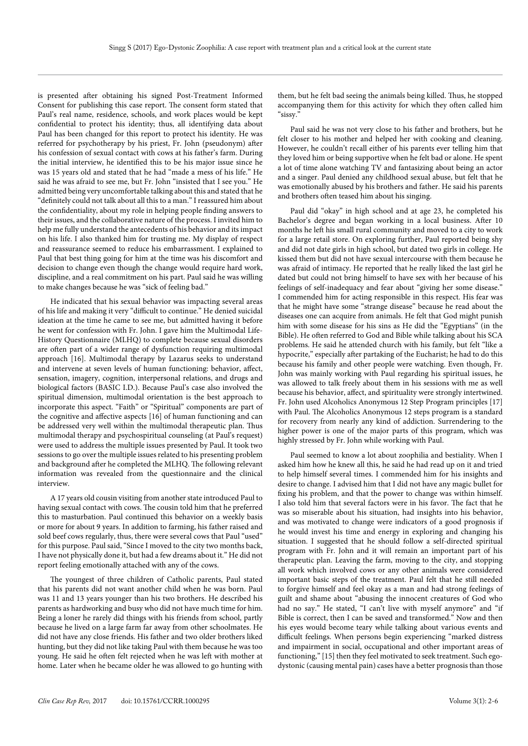is presented after obtaining his signed Post-Treatment Informed Consent for publishing this case report. The consent form stated that Paul's real name, residence, schools, and work places would be kept confidential to protect his identity; thus, all identifying data about Paul has been changed for this report to protect his identity. He was referred for psychotherapy by his priest, Fr. John (pseudonym) after his confession of sexual contact with cows at his father's farm. During the initial interview, he identified this to be his major issue since he was 15 years old and stated that he had "made a mess of his life." He said he was afraid to see me, but Fr. John "insisted that I see you." He admitted being very uncomfortable talking about this and stated that he "definitely could not talk about all this to a man." I reassured him about the confidentiality, about my role in helping people finding answers to their issues, and the collaborative nature of the process. I invited him to help me fully understand the antecedents of his behavior and its impact on his life. I also thanked him for trusting me. My display of respect and reassurance seemed to reduce his embarrassment. I explained to Paul that best thing going for him at the time was his discomfort and decision to change even though the change would require hard work, discipline, and a real commitment on his part. Paul said he was willing to make changes because he was "sick of feeling bad."

He indicated that his sexual behavior was impacting several areas of his life and making it very "difficult to continue." He denied suicidal ideation at the time he came to see me, but admitted having it before he went for confession with Fr. John. I gave him the Multimodal Life-History Questionnaire (MLHQ) to complete because sexual disorders are often part of a wider range of dysfunction requiring multimodal approach [16]. Multimodal therapy by Lazarus seeks to understand and intervene at seven levels of human functioning: behavior, affect, sensation, imagery, cognition, interpersonal relations, and drugs and biological factors (BASIC I.D.). Because Paul's case also involved the spiritual dimension, multimodal orientation is the best approach to incorporate this aspect. "Faith" or "Spiritual" components are part of the cognitive and affective aspects [16] of human functioning and can be addressed very well within the multimodal therapeutic plan. Thus multimodal therapy and psychospiritual counseling (at Paul's request) were used to address the multiple issues presented by Paul. It took two sessions to go over the multiple issues related to his presenting problem and background after he completed the MLHQ. The following relevant information was revealed from the questionnaire and the clinical interview.

A 17 years old cousin visiting from another state introduced Paul to having sexual contact with cows. The cousin told him that he preferred this to masturbation. Paul continued this behavior on a weekly basis or more for about 9 years. In addition to farming, his father raised and sold beef cows regularly, thus, there were several cows that Paul "used" for this purpose. Paul said, "Since I moved to the city two months back, I have not physically done it, but had a few dreams about it." He did not report feeling emotionally attached with any of the cows.

The youngest of three children of Catholic parents, Paul stated that his parents did not want another child when he was born. Paul was 11 and 13 years younger than his two brothers. He described his parents as hardworking and busy who did not have much time for him. Being a loner he rarely did things with his friends from school, partly because he lived on a large farm far away from other schoolmates. He did not have any close friends. His father and two older brothers liked hunting, but they did not like taking Paul with them because he was too young. He said he often felt rejected when he was left with mother at home. Later when he became older he was allowed to go hunting with

them, but he felt bad seeing the animals being killed. Thus, he stopped accompanying them for this activity for which they often called him "sissy."

Paul said he was not very close to his father and brothers, but he felt closer to his mother and helped her with cooking and cleaning. However, he couldn't recall either of his parents ever telling him that they loved him or being supportive when he felt bad or alone. He spent a lot of time alone watching TV and fantasizing about being an actor and a singer. Paul denied any childhood sexual abuse, but felt that he was emotionally abused by his brothers and father. He said his parents and brothers often teased him about his singing.

Paul did "okay" in high school and at age 23, he completed his Bachelor's degree and began working in a local business. After 10 months he left his small rural community and moved to a city to work for a large retail store. On exploring further, Paul reported being shy and did not date girls in high school, but dated two girls in college. He kissed them but did not have sexual intercourse with them because he was afraid of intimacy. He reported that he really liked the last girl he dated but could not bring himself to have sex with her because of his feelings of self-inadequacy and fear about "giving her some disease." I commended him for acting responsible in this respect. His fear was that he might have some "strange disease" because he read about the diseases one can acquire from animals. He felt that God might punish him with some disease for his sins as He did the "Egyptians" (in the Bible). He often referred to God and Bible while talking about his SCA problems. He said he attended church with his family, but felt "like a hypocrite," especially after partaking of the Eucharist; he had to do this because his family and other people were watching. Even though, Fr. John was mainly working with Paul regarding his spiritual issues, he was allowed to talk freely about them in his sessions with me as well because his behavior, affect, and spirituality were strongly intertwined. Fr. John used Alcoholics Anonymous 12 Step Program principles [17] with Paul. The Alcoholics Anonymous 12 steps program is a standard for recovery from nearly any kind of addiction. Surrendering to the higher power is one of the major parts of this program, which was highly stressed by Fr. John while working with Paul.

Paul seemed to know a lot about zoophilia and bestiality. When I asked him how he knew all this, he said he had read up on it and tried to help himself several times. I commended him for his insights and desire to change. I advised him that I did not have any magic bullet for fixing his problem, and that the power to change was within himself. I also told him that several factors were in his favor. The fact that he was so miserable about his situation, had insights into his behavior, and was motivated to change were indicators of a good prognosis if he would invest his time and energy in exploring and changing his situation. I suggested that he should follow a self-directed spiritual program with Fr. John and it will remain an important part of his therapeutic plan. Leaving the farm, moving to the city, and stopping all work which involved cows or any other animals were considered important basic steps of the treatment. Paul felt that he still needed to forgive himself and feel okay as a man and had strong feelings of guilt and shame about "abusing the innocent creatures of God who had no say." He stated, "I can't live with myself anymore" and "if Bible is correct, then I can be saved and transformed." Now and then his eyes would become teary while talking about various events and difficult feelings. When persons begin experiencing "marked distress and impairment in social, occupational and other important areas of functioning," [15] then they feel motivated to seek treatment. Such egodystonic (causing mental pain) cases have a better prognosis than those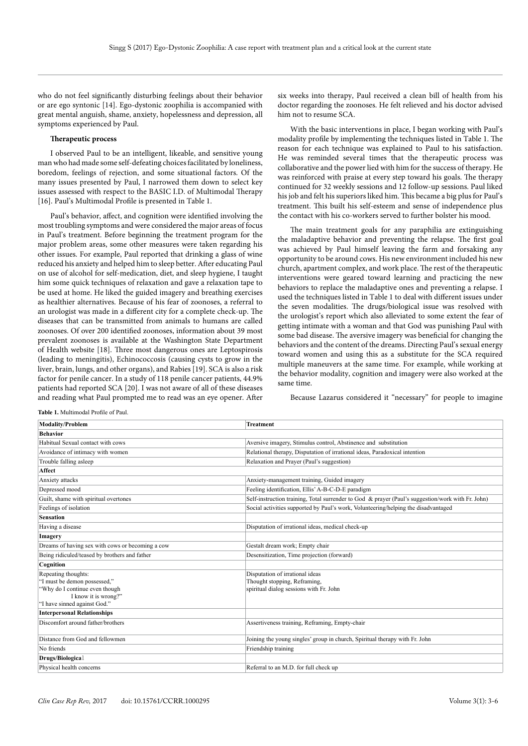who do not feel significantly disturbing feelings about their behavior or are ego syntonic [14]. Ego-dystonic zoophilia is accompanied with great mental anguish, shame, anxiety, hopelessness and depression, all symptoms experienced by Paul.

#### **Therapeutic process**

I observed Paul to be an intelligent, likeable, and sensitive young man who had made some self-defeating choices facilitated by loneliness, boredom, feelings of rejection, and some situational factors. Of the many issues presented by Paul, I narrowed them down to select key issues assessed with respect to the BASIC I.D. of Multimodal Therapy [16]. Paul's Multimodal Profile is presented in Table 1.

Paul's behavior, affect, and cognition were identified involving the most troubling symptoms and were considered the major areas of focus in Paul's treatment. Before beginning the treatment program for the major problem areas, some other measures were taken regarding his other issues. For example, Paul reported that drinking a glass of wine reduced his anxiety and helped him to sleep better. After educating Paul on use of alcohol for self-medication, diet, and sleep hygiene, I taught him some quick techniques of relaxation and gave a relaxation tape to be used at home. He liked the guided imagery and breathing exercises as healthier alternatives. Because of his fear of zoonoses, a referral to an urologist was made in a different city for a complete check-up. The diseases that can be transmitted from animals to humans are called zoonoses. Of over 200 identified zoonoses, information about 39 most prevalent zoonoses is available at the Washington State Department of Health website [18]. Three most dangerous ones are Leptospirosis (leading to meningitis), Echinococcosis (causing cysts to grow in the liver, brain, lungs, and other organs), and Rabies [19]. SCA is also a risk factor for penile cancer. In a study of 118 penile cancer patients, 44.9% patients had reported SCA [20]. I was not aware of all of these diseases and reading what Paul prompted me to read was an eye opener. After

six weeks into therapy, Paul received a clean bill of health from his doctor regarding the zoonoses. He felt relieved and his doctor advised him not to resume SCA.

With the basic interventions in place, I began working with Paul's modality profile by implementing the techniques listed in Table 1. The reason for each technique was explained to Paul to his satisfaction. He was reminded several times that the therapeutic process was collaborative and the power lied with him for the success of therapy. He was reinforced with praise at every step toward his goals. The therapy continued for 32 weekly sessions and 12 follow-up sessions. Paul liked his job and felt his superiors liked him. This became a big plus for Paul's treatment. This built his self-esteem and sense of independence plus the contact with his co-workers served to further bolster his mood.

The main treatment goals for any paraphilia are extinguishing the maladaptive behavior and preventing the relapse. The first goal was achieved by Paul himself leaving the farm and forsaking any opportunity to be around cows. His new environment included his new church, apartment complex, and work place. The rest of the therapeutic interventions were geared toward learning and practicing the new behaviors to replace the maladaptive ones and preventing a relapse. I used the techniques listed in Table 1 to deal with different issues under the seven modalities. The drugs/biological issue was resolved with the urologist's report which also alleviated to some extent the fear of getting intimate with a woman and that God was punishing Paul with some bad disease. The aversive imagery was beneficial for changing the behaviors and the content of the dreams. Directing Paul's sexual energy toward women and using this as a substitute for the SCA required multiple maneuvers at the same time. For example, while working at the behavior modality, cognition and imagery were also worked at the same time.

Because Lazarus considered it "necessary" for people to imagine

**Table 1.** Multimodal Profile of Paul.

| <b>Modality/Problem</b>                                                                                                                       | <b>Treatment</b>                                                                                           |
|-----------------------------------------------------------------------------------------------------------------------------------------------|------------------------------------------------------------------------------------------------------------|
| <b>Behavior</b>                                                                                                                               |                                                                                                            |
| Habitual Sexual contact with cows                                                                                                             | Aversive imagery, Stimulus control, Abstinence and substitution                                            |
| Avoidance of intimacy with women                                                                                                              | Relational therapy, Disputation of irrational ideas, Paradoxical intention                                 |
| Trouble falling asleep                                                                                                                        | Relaxation and Prayer (Paul's suggestion)                                                                  |
| Affect                                                                                                                                        |                                                                                                            |
| Anxiety attacks                                                                                                                               | Anxiety-management training, Guided imagery                                                                |
| Depressed mood                                                                                                                                | Feeling identification, Ellis' A-B-C-D-E paradigm                                                          |
| Guilt, shame with spiritual overtones                                                                                                         | Self-instruction training, Total surrender to God & prayer (Paul's suggestion/work with Fr. John)          |
| Feelings of isolation                                                                                                                         | Social activities supported by Paul's work, Volunteering/helping the disadvantaged                         |
| <b>Sensation</b>                                                                                                                              |                                                                                                            |
| Having a disease                                                                                                                              | Disputation of irrational ideas, medical check-up                                                          |
| Imagery                                                                                                                                       |                                                                                                            |
| Dreams of having sex with cows or becoming a cow                                                                                              | Gestalt dream work; Empty chair                                                                            |
| Being ridiculed/teased by brothers and father                                                                                                 | Desensitization, Time projection (forward)                                                                 |
| Cognition                                                                                                                                     |                                                                                                            |
| Repeating thoughts:<br>"I must be demon possessed,"<br>"Why do I continue even though<br>I know it is wrong?"<br>"I have sinned against God." | Disputation of irrational ideas<br>Thought stopping, Reframing,<br>spiritual dialog sessions with Fr. John |
| <b>Interpersonal Relationships</b>                                                                                                            |                                                                                                            |
| Discomfort around father/brothers                                                                                                             | Assertiveness training, Reframing, Empty-chair                                                             |
| Distance from God and fellowmen                                                                                                               | Joining the young singles' group in church, Spiritual therapy with Fr. John                                |
| No friends                                                                                                                                    | Friendship training                                                                                        |
| Drugs/Biological                                                                                                                              |                                                                                                            |
| Physical health concerns                                                                                                                      | Referral to an M.D. for full check up                                                                      |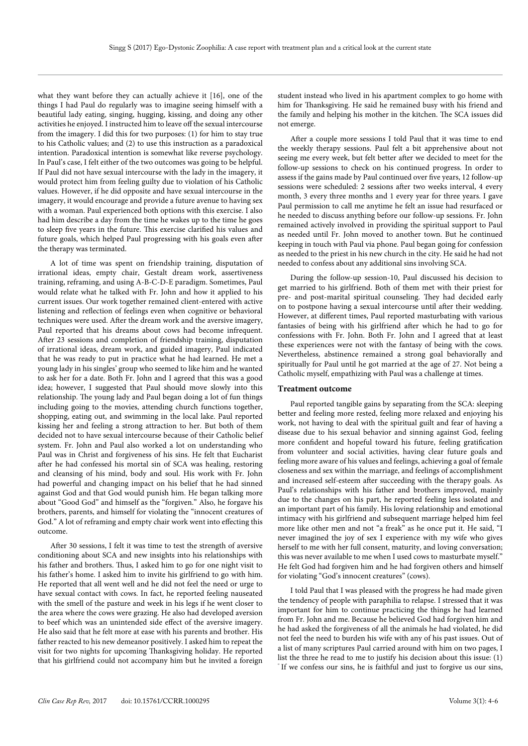what they want before they can actually achieve it [16], one of the things I had Paul do regularly was to imagine seeing himself with a beautiful lady eating, singing, hugging, kissing, and doing any other activities he enjoyed. I instructed him to leave off the sexual intercourse from the imagery. I did this for two purposes: (1) for him to stay true to his Catholic values; and (2) to use this instruction as a paradoxical intention. Paradoxical intention is somewhat like reverse psychology. In Paul's case, I felt either of the two outcomes was going to be helpful. If Paul did not have sexual intercourse with the lady in the imagery, it would protect him from feeling guilty due to violation of his Catholic values. However, if he did opposite and have sexual intercourse in the imagery, it would encourage and provide a future avenue to having sex with a woman. Paul experienced both options with this exercise. I also had him describe a day from the time he wakes up to the time he goes to sleep five years in the future. This exercise clarified his values and future goals, which helped Paul progressing with his goals even after the therapy was terminated.

A lot of time was spent on friendship training, disputation of irrational ideas, empty chair, Gestalt dream work, assertiveness training, reframing, and using A-B-C-D-E paradigm. Sometimes, Paul would relate what he talked with Fr. John and how it applied to his current issues. Our work together remained client-entered with active listening and reflection of feelings even when cognitive or behavioral techniques were used. After the dream work and the aversive imagery, Paul reported that his dreams about cows had become infrequent. After 23 sessions and completion of friendship training, disputation of irrational ideas, dream work, and guided imagery, Paul indicated that he was ready to put in practice what he had learned. He met a young lady in his singles' group who seemed to like him and he wanted to ask her for a date. Both Fr. John and I agreed that this was a good idea; however, I suggested that Paul should move slowly into this relationship. The young lady and Paul began doing a lot of fun things including going to the movies, attending church functions together, shopping, eating out, and swimming in the local lake. Paul reported kissing her and feeling a strong attraction to her. But both of them decided not to have sexual intercourse because of their Catholic belief system. Fr. John and Paul also worked a lot on understanding who Paul was in Christ and forgiveness of his sins. He felt that Eucharist after he had confessed his mortal sin of SCA was healing, restoring and cleansing of his mind, body and soul. His work with Fr. John had powerful and changing impact on his belief that he had sinned against God and that God would punish him. He began talking more about "Good God" and himself as the "forgiven." Also, he forgave his brothers, parents, and himself for violating the "innocent creatures of God." A lot of reframing and empty chair work went into effecting this outcome.

After 30 sessions, I felt it was time to test the strength of aversive conditioning about SCA and new insights into his relationships with his father and brothers. Thus, I asked him to go for one night visit to his father's home. I asked him to invite his girlfriend to go with him. He reported that all went well and he did not feel the need or urge to have sexual contact with cows. In fact, he reported feeling nauseated with the smell of the pasture and week in his legs if he went closer to the area where the cows were grazing. He also had developed aversion to beef which was an unintended side effect of the aversive imagery. He also said that he felt more at ease with his parents and brother. His father reacted to his new demeanor positively. I asked him to repeat the visit for two nights for upcoming Thanksgiving holiday. He reported that his girlfriend could not accompany him but he invited a foreign

student instead who lived in his apartment complex to go home with him for Thanksgiving. He said he remained busy with his friend and the family and helping his mother in the kitchen. The SCA issues did not emerge.

After a couple more sessions I told Paul that it was time to end the weekly therapy sessions. Paul felt a bit apprehensive about not seeing me every week, but felt better after we decided to meet for the follow-up sessions to check on his continued progress. In order to assess if the gains made by Paul continued over five years, 12 follow-up sessions were scheduled: 2 sessions after two weeks interval, 4 every month, 3 every three months and 1 every year for three years. I gave Paul permission to call me anytime he felt an issue had resurfaced or he needed to discuss anything before our follow-up sessions. Fr. John remained actively involved in providing the spiritual support to Paul as needed until Fr. John moved to another town. But he continued keeping in touch with Paul via phone. Paul began going for confession as needed to the priest in his new church in the city. He said he had not needed to confess about any additional sins involving SCA.

During the follow-up session-10, Paul discussed his decision to get married to his girlfriend. Both of them met with their priest for pre- and post-marital spiritual counseling. They had decided early on to postpone having a sexual intercourse until after their wedding. However, at different times, Paul reported masturbating with various fantasies of being with his girlfriend after which he had to go for confessions with Fr. John. Both Fr. John and I agreed that at least these experiences were not with the fantasy of being with the cows. Nevertheless, abstinence remained a strong goal behaviorally and spiritually for Paul until he got married at the age of 27. Not being a Catholic myself, empathizing with Paul was a challenge at times.

#### **Treatment outcome**

Paul reported tangible gains by separating from the SCA: sleeping better and feeling more rested, feeling more relaxed and enjoying his work, not having to deal with the spiritual guilt and fear of having a disease due to his sexual behavior and sinning against God, feeling more confident and hopeful toward his future, feeling gratification from volunteer and social activities, having clear future goals and feeling more aware of his values and feelings, achieving a goal of female closeness and sex within the marriage, and feelings of accomplishment and increased self-esteem after succeeding with the therapy goals. As Paul's relationships with his father and brothers improved, mainly due to the changes on his part, he reported feeling less isolated and an important part of his family. His loving relationship and emotional intimacy with his girlfriend and subsequent marriage helped him feel more like other men and not "a freak" as he once put it. He said, "I never imagined the joy of sex I experience with my wife who gives herself to me with her full consent, maturity, and loving conversation; this was never available to me when I used cows to masturbate myself." He felt God had forgiven him and he had forgiven others and himself for violating "God's innocent creatures" (cows).

I told Paul that I was pleased with the progress he had made given the tendency of people with paraphilia to relapse. I stressed that it was important for him to continue practicing the things he had learned from Fr. John and me. Because he believed God had forgiven him and he had asked the forgiveness of all the animals he had violated, he did not feel the need to burden his wife with any of his past issues. Out of a list of many scriptures Paul carried around with him on two pages, I list the three he read to me to justify his decision about this issue: (1) " If we confess our sins, he is faithful and just to forgive us our sins,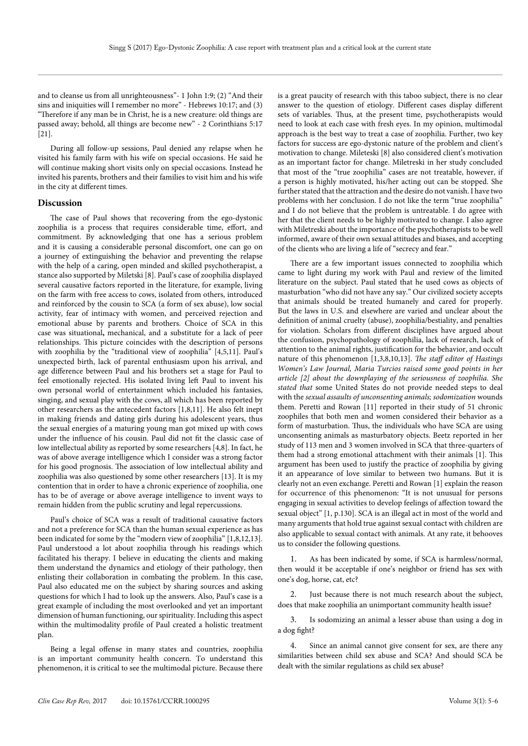and to cleanse us from all unrighteousness"- 1 John 1:9; (2) "And their sins and iniquities will I remember no more" - Hebrews 10:17; and (3) "Therefore if any man be in Christ, he is a new creature: old things are passed away; behold, all things are become new" - 2 Corinthians 5:17 [21].

During all follow-up sessions, Paul denied any relapse when he visited his family farm with his wife on special occasions. He said he will continue making short visits only on special occasions. Instead he invited his parents, brothers and their families to visit him and his wife in the city at different times.

## **Discussion**

The case of Paul shows that recovering from the ego-dystonic zoophilia is a process that requires considerable time, effort, and commitment. By acknowledging that one has a serious problem and it is causing a considerable personal discomfort, one can go on a journey of extinguishing the behavior and preventing the relapse with the help of a caring, open minded and skilled psychotherapist, a stance also supported by Miletski [8]. Paul's case of zoophilia displayed several causative factors reported in the literature, for example, living on the farm with free access to cows, isolated from others, introduced and reinforced by the cousin to SCA (a form of sex abuse), low social activity, fear of intimacy with women, and perceived rejection and emotional abuse by parents and brothers. Choice of SCA in this case was situational**,** mechanical, and a substitute for a lack of peer relationships. This picture coincides with the description of persons with zoophilia by the "traditional view of zoophilia" [4,5,11]. Paul's unexpected birth, lack of parental enthusiasm upon his arrival, and age difference between Paul and his brothers set a stage for Paul to feel emotionally rejected. His isolated living left Paul to invent his own personal world of entertainment which included his fantasies, singing, and sexual play with the cows, all which has been reported by other researchers as the antecedent factors [1,8,11]. He also felt inept in making friends and dating girls during his adolescent years, thus the sexual energies of a maturing young man got mixed up with cows under the influence of his cousin. Paul did not fit the classic case of low intellectual ability as reported by some researchers [4,8]. In fact, he was of above average intelligence which I consider was a strong factor for his good prognosis. The association of low intellectual ability and zoophilia was also questioned by some other researchers [13]. It is my contention that in order to have a chronic experience of zoophilia, one has to be of average or above average intelligence to invent ways to remain hidden from the public scrutiny and legal repercussions.

Paul's choice of SCA was a result of traditional causative factors and not a preference for SCA than the human sexual experience as has been indicated for some by the "modern view of zoophilia" [1,8,12,13]. Paul understood a lot about zoophilia through his readings which facilitated his therapy. I believe in educating the clients and making them understand the dynamics and etiology of their pathology, then enlisting their collaboration in combating the problem. In this case, Paul also educated me on the subject by sharing sources and asking questions for which I had to look up the answers. Also, Paul's case is a great example of including the most overlooked and yet an important dimension of human functioning, our spirituality. Including this aspect within the multimodality profile of Paul created a holistic treatment plan.

Being a legal offense in many states and countries, zoophilia is an important community health concern. To understand this phenomenon, it is critical to see the multimodal picture. Because there is a great paucity of research with this taboo subject, there is no clear answer to the question of etiology. Different cases display different sets of variables. Thus, at the present time, psychotherapists would need to look at each case with fresh eyes. In my opinion, multimodal approach is the best way to treat a case of zoophilia. Further, two key factors for success are ego-dystonic nature of the problem and client's motivation to change. Mileteski [8] also considered client's motivation as an important factor for change. Miletreski in her study concluded that most of the "true zoophilia" cases are not treatable, however, if a person is highly motivated, his/her acting out can be stopped. She further stated that the attraction and the desire do not vanish. I have two problems with her conclusion. I do not like the term "true zoophilia" and I do not believe that the problem is untreatable. I do agree with her that the client needs to be highly motivated to change. I also agree with Miletreski about the importance of the psychotherapists to be well informed, aware of their own sexual attitudes and biases, and accepting of the clients who are living a life of "secrecy and fear."

There are a few important issues connected to zoophilia which came to light during my work with Paul and review of the limited literature on the subject. Paul stated that he used cows as objects of masturbation "who did not have any say." Our civilized society accepts that animals should be treated humanely and cared for properly. But the laws in U.S. and elsewhere are varied and unclear about the definition of animal cruelty (abuse), zoophilia/bestiality, and penalties for violation. Scholars from different disciplines have argued about the confusion, psychopathology of zoophilia, lack of research, lack of attention to the animal rights, justification for the behavior, and occult nature of this phenomenon [1,3,8,10,13]. *The staff editor of Hastings Women's Law Journal, Maria Turcios raised some good points in her article [2] about the downplaying of the seriousness of zoophilia. She stated that* some United States do not provide needed steps to deal with the *sexual assaults of unconsenting animals; sodomization* wounds them. Peretti and Rowan [11] reported in their study of 51 chronic zoophiles that both men and women considered their behavior as a form of masturbation. Thus, the individuals who have SCA are using unconsenting animals as masturbatory objects. Beetz reported in her study of 113 men and 3 women involved in SCA that three-quarters of them had a strong emotional attachment with their animals [1]. This argument has been used to justify the practice of zoophilia by giving it an appearance of love similar to between two humans. But it is clearly not an even exchange. Peretti and Rowan [1] explain the reason for occurrence of this phenomenon: "It is not unusual for persons engaging in sexual activities to develop feelings of affection toward the sexual object" [1, p.130]. SCA is an illegal act in most of the world and many arguments that hold true against sexual contact with children are also applicable to sexual contact with animals. At any rate, it behooves us to consider the following questions.

1. As has been indicated by some, if SCA is harmless/normal, then would it be acceptable if one's neighbor or friend has sex with one's dog, horse, cat, etc?

Just because there is not much research about the subject, does that make zoophilia an unimportant community health issue?

3. Is sodomizing an animal a lesser abuse than using a dog in a dog fight?

4. Since an animal cannot give consent for sex, are there any similarities between child sex abuse and SCA? And should SCA be dealt with the similar regulations as child sex abuse?